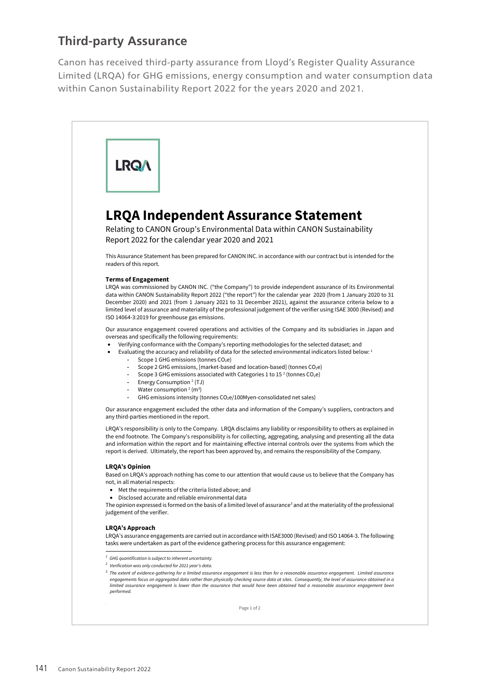## **Third-party Assurance**

Canon has received third-party assurance from Lloyd's Register Quality Assurance Limited (LRQA) for GHG emissions, energy consumption and water consumption data within Canon Sustainability Report 2022 for the years 2020 and 2021.